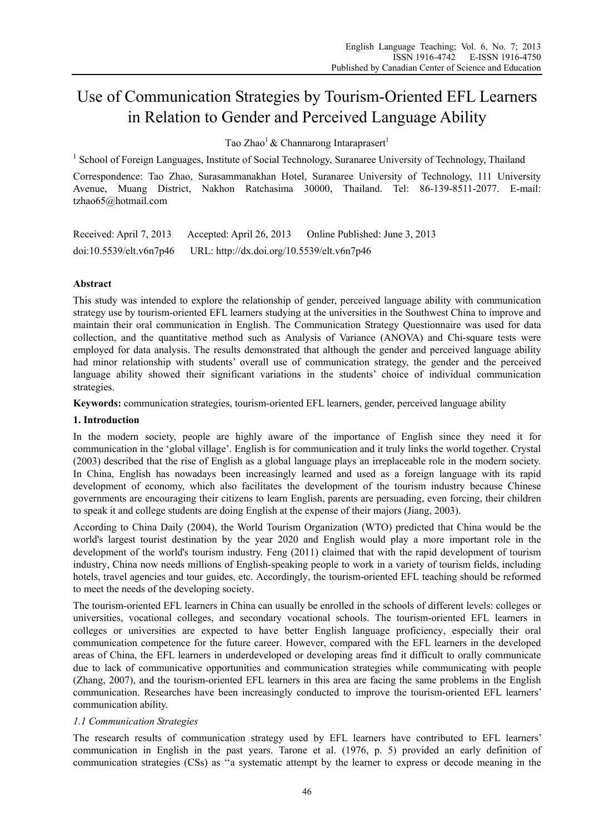# Use of Communication Strategies by Tourism-Oriented EFL Learners in Relation to Gender and Perceived Language Ability

Tao Zhao<sup>1</sup> & Channarong Intaraprasert<sup>1</sup>

<sup>1</sup> School of Foreign Languages, Institute of Social Technology, Suranaree University of Technology, Thailand

Correspondence: Tao Zhao, Surasammanakhan Hotel, Suranaree University of Technology, 111 University Avenue, Muang District, Nakhon Ratchasima 30000, Thailand. Tel: 86-139-8511-2077. E-mail: tzhao65@hotmail.com

Received: April 7, 2013 Accepted: April 26, 2013 Online Published: June 3, 2013 doi:10.5539/elt.v6n7p46 URL: http://dx.doi.org/10.5539/elt.v6n7p46

# **Abstract**

This study was intended to explore the relationship of gender, perceived language ability with communication strategy use by tourism-oriented EFL learners studying at the universities in the Southwest China to improve and maintain their oral communication in English. The Communication Strategy Questionnaire was used for data collection, and the quantitative method such as Analysis of Variance (ANOVA) and Chi-square tests were employed for data analysis. The results demonstrated that although the gender and perceived language ability had minor relationship with students' overall use of communication strategy, the gender and the perceived language ability showed their significant variations in the students' choice of individual communication strategies.

**Keywords:** communication strategies, tourism-oriented EFL learners, gender, perceived language ability

# **1. Introduction**

In the modern society, people are highly aware of the importance of English since they need it for communication in the 'global village'. English is for communication and it truly links the world together. Crystal (2003) described that the rise of English as a global language plays an irreplaceable role in the modern society. In China, English has nowadays been increasingly learned and used as a foreign language with its rapid development of economy, which also facilitates the development of the tourism industry because Chinese governments are encouraging their citizens to learn English, parents are persuading, even forcing, their children to speak it and college students are doing English at the expense of their majors (Jiang, 2003).

According to China Daily (2004), the World Tourism Organization (WTO) predicted that China would be the world's largest tourist destination by the year 2020 and English would play a more important role in the development of the world's tourism industry. Feng (2011) claimed that with the rapid development of tourism industry, China now needs millions of English-speaking people to work in a variety of tourism fields, including hotels, travel agencies and tour guides, etc. Accordingly, the tourism-oriented EFL teaching should be reformed to meet the needs of the developing society.

The tourism-oriented EFL learners in China can usually be enrolled in the schools of different levels: colleges or universities, vocational colleges, and secondary vocational schools. The tourism-oriented EFL learners in colleges or universities are expected to have better English language proficiency, especially their oral communication competence for the future career. However, compared with the EFL learners in the developed areas of China, the EFL learners in underdeveloped or developing areas find it difficult to orally communicate due to lack of communicative opportunities and communication strategies while communicating with people (Zhang, 2007), and the tourism-oriented EFL learners in this area are facing the same problems in the English communication. Researches have been increasingly conducted to improve the tourism-oriented EFL learners' communication ability.

# *1.1 Communication Strategies*

The research results of communication strategy used by EFL learners have contributed to EFL learners' communication in English in the past years. Tarone et al. (1976, p. 5) provided an early definition of communication strategies (CSs) as ''a systematic attempt by the learner to express or decode meaning in the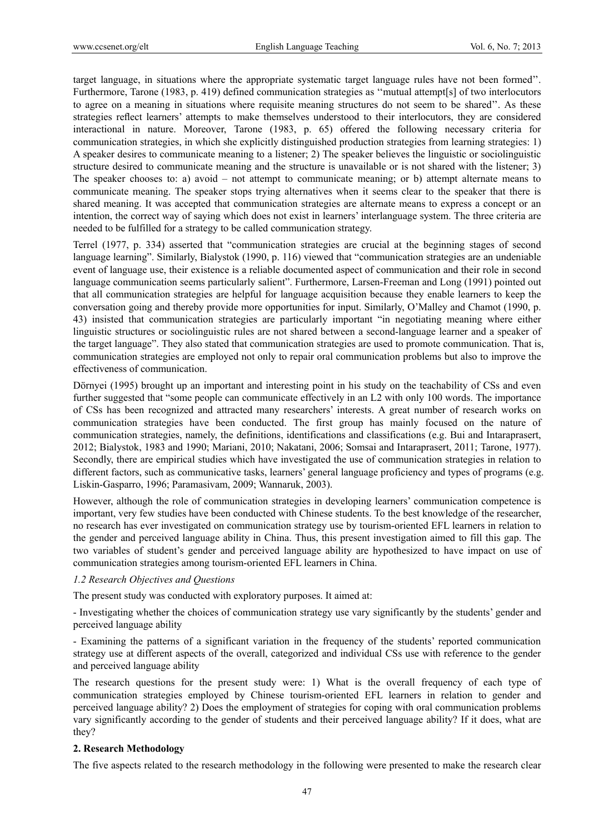target language, in situations where the appropriate systematic target language rules have not been formed''. Furthermore, Tarone (1983, p. 419) defined communication strategies as "mutual attempt[s] of two interlocutors to agree on a meaning in situations where requisite meaning structures do not seem to be shared''. As these strategies reflect learners' attempts to make themselves understood to their interlocutors, they are considered interactional in nature. Moreover, Tarone (1983, p. 65) offered the following necessary criteria for communication strategies, in which she explicitly distinguished production strategies from learning strategies: 1) A speaker desires to communicate meaning to a listener; 2) The speaker believes the linguistic or sociolinguistic structure desired to communicate meaning and the structure is unavailable or is not shared with the listener; 3) The speaker chooses to: a) avoid – not attempt to communicate meaning; or b) attempt alternate means to communicate meaning. The speaker stops trying alternatives when it seems clear to the speaker that there is shared meaning. It was accepted that communication strategies are alternate means to express a concept or an intention, the correct way of saying which does not exist in learners' interlanguage system. The three criteria are needed to be fulfilled for a strategy to be called communication strategy.

Terrel (1977, p. 334) asserted that "communication strategies are crucial at the beginning stages of second language learning". Similarly, Bialystok (1990, p. 116) viewed that "communication strategies are an undeniable event of language use, their existence is a reliable documented aspect of communication and their role in second language communication seems particularly salient". Furthermore, Larsen-Freeman and Long (1991) pointed out that all communication strategies are helpful for language acquisition because they enable learners to keep the conversation going and thereby provide more opportunities for input. Similarly, O'Malley and Chamot (1990, p. 43) insisted that communication strategies are particularly important "in negotiating meaning where either linguistic structures or sociolinguistic rules are not shared between a second-language learner and a speaker of the target language". They also stated that communication strategies are used to promote communication. That is, communication strategies are employed not only to repair oral communication problems but also to improve the effectiveness of communication.

Dörnyei (1995) brought up an important and interesting point in his study on the teachability of CSs and even further suggested that "some people can communicate effectively in an L2 with only 100 words. The importance of CSs has been recognized and attracted many researchers' interests. A great number of research works on communication strategies have been conducted. The first group has mainly focused on the nature of communication strategies, namely, the definitions, identifications and classifications (e.g. Bui and Intaraprasert, 2012; Bialystok, 1983 and 1990; Mariani, 2010; Nakatani, 2006; Somsai and Intaraprasert, 2011; Tarone, 1977). Secondly, there are empirical studies which have investigated the use of communication strategies in relation to different factors, such as communicative tasks, learners' general language proficiency and types of programs (e.g. Liskin-Gasparro, 1996; Paramasivam, 2009; Wannaruk, 2003).

However, although the role of communication strategies in developing learners' communication competence is important, very few studies have been conducted with Chinese students. To the best knowledge of the researcher, no research has ever investigated on communication strategy use by tourism-oriented EFL learners in relation to the gender and perceived language ability in China. Thus, this present investigation aimed to fill this gap. The two variables of student's gender and perceived language ability are hypothesized to have impact on use of communication strategies among tourism-oriented EFL learners in China.

# *1.2 Research Objectives and Questions*

The present study was conducted with exploratory purposes. It aimed at:

- Investigating whether the choices of communication strategy use vary significantly by the students' gender and perceived language ability

- Examining the patterns of a significant variation in the frequency of the students' reported communication strategy use at different aspects of the overall, categorized and individual CSs use with reference to the gender and perceived language ability

The research questions for the present study were: 1) What is the overall frequency of each type of communication strategies employed by Chinese tourism-oriented EFL learners in relation to gender and perceived language ability? 2) Does the employment of strategies for coping with oral communication problems vary significantly according to the gender of students and their perceived language ability? If it does, what are they?

#### **2. Research Methodology**

The five aspects related to the research methodology in the following were presented to make the research clear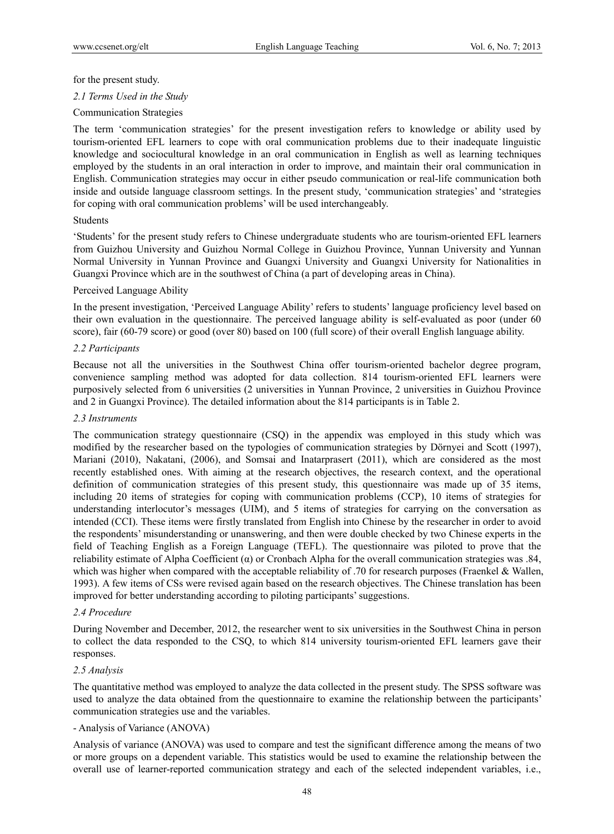#### for the present study.

*2.1 Terms Used in the Study* 

#### Communication Strategies

The term 'communication strategies' for the present investigation refers to knowledge or ability used by tourism-oriented EFL learners to cope with oral communication problems due to their inadequate linguistic knowledge and sociocultural knowledge in an oral communication in English as well as learning techniques employed by the students in an oral interaction in order to improve, and maintain their oral communication in English. Communication strategies may occur in either pseudo communication or real-life communication both inside and outside language classroom settings. In the present study, 'communication strategies' and 'strategies for coping with oral communication problems' will be used interchangeably.

#### Students

'Students' for the present study refers to Chinese undergraduate students who are tourism-oriented EFL learners from Guizhou University and Guizhou Normal College in Guizhou Province, Yunnan University and Yunnan Normal University in Yunnan Province and Guangxi University and Guangxi University for Nationalities in Guangxi Province which are in the southwest of China (a part of developing areas in China).

#### Perceived Language Ability

In the present investigation, 'Perceived Language Ability' refers to students' language proficiency level based on their own evaluation in the questionnaire. The perceived language ability is self-evaluated as poor (under 60 score), fair (60-79 score) or good (over 80) based on 100 (full score) of their overall English language ability.

# *2.2 Participants*

Because not all the universities in the Southwest China offer tourism-oriented bachelor degree program, convenience sampling method was adopted for data collection. 814 tourism-oriented EFL learners were purposively selected from 6 universities (2 universities in Yunnan Province, 2 universities in Guizhou Province and 2 in Guangxi Province). The detailed information about the 814 participants is in Table 2.

#### *2.3 Instruments*

The communication strategy questionnaire (CSQ) in the appendix was employed in this study which was modified by the researcher based on the typologies of communication strategies by Dörnyei and Scott (1997), Mariani (2010), Nakatani, (2006), and Somsai and Inatarprasert (2011), which are considered as the most recently established ones. With aiming at the research objectives, the research context, and the operational definition of communication strategies of this present study, this questionnaire was made up of 35 items, including 20 items of strategies for coping with communication problems (CCP), 10 items of strategies for understanding interlocutor's messages (UIM), and 5 items of strategies for carrying on the conversation as intended (CCI). These items were firstly translated from English into Chinese by the researcher in order to avoid the respondents' misunderstanding or unanswering, and then were double checked by two Chinese experts in the field of Teaching English as a Foreign Language (TEFL). The questionnaire was piloted to prove that the reliability estimate of Alpha Coefficient (α) or Cronbach Alpha for the overall communication strategies was .84, which was higher when compared with the acceptable reliability of .70 for research purposes (Fraenkel & Wallen, 1993). A few items of CSs were revised again based on the research objectives. The Chinese translation has been improved for better understanding according to piloting participants' suggestions.

#### *2.4 Procedure*

During November and December, 2012, the researcher went to six universities in the Southwest China in person to collect the data responded to the CSQ, to which 814 university tourism-oriented EFL learners gave their responses.

#### *2.5 Analysis*

The quantitative method was employed to analyze the data collected in the present study. The SPSS software was used to analyze the data obtained from the questionnaire to examine the relationship between the participants' communication strategies use and the variables.

#### - Analysis of Variance (ANOVA)

Analysis of variance (ANOVA) was used to compare and test the significant difference among the means of two or more groups on a dependent variable. This statistics would be used to examine the relationship between the overall use of learner-reported communication strategy and each of the selected independent variables, i.e.,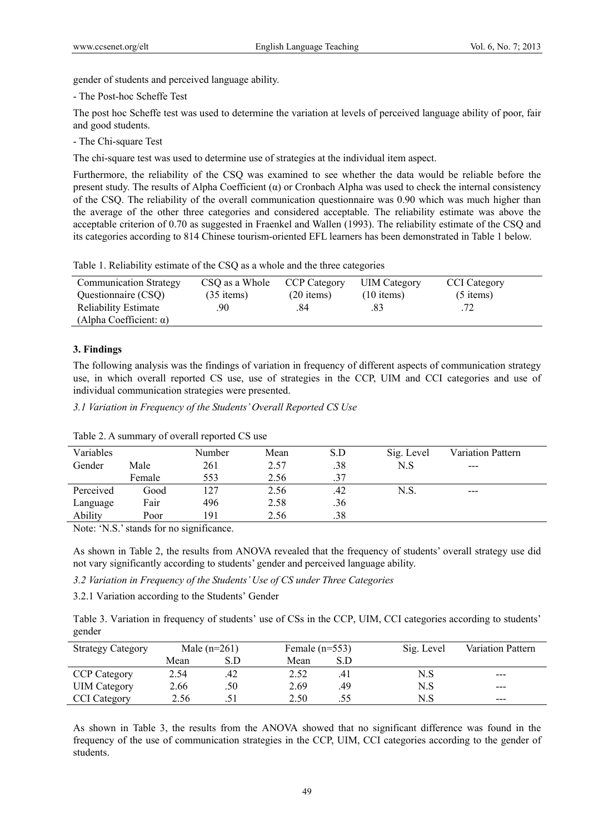gender of students and perceived language ability.

- The Post-hoc Scheffe Test

The post hoc Scheffe test was used to determine the variation at levels of perceived language ability of poor, fair and good students.

- The Chi-square Test

The chi-square test was used to determine use of strategies at the individual item aspect.

Furthermore, the reliability of the CSQ was examined to see whether the data would be reliable before the present study. The results of Alpha Coefficient  $(a)$  or Cronbach Alpha was used to check the internal consistency of the CSQ. The reliability of the overall communication questionnaire was 0.90 which was much higher than the average of the other three categories and considered acceptable. The reliability estimate was above the acceptable criterion of 0.70 as suggested in Fraenkel and Wallen (1993). The reliability estimate of the CSQ and its categories according to 814 Chinese tourism-oriented EFL learners has been demonstrated in Table 1 below.

Table 1. Reliability estimate of the CSQ as a whole and the three categories

| <b>Communication Strategy</b>                                 | CSO as a Whole | <b>CCP Category</b> | <b>UIM</b> Category | <b>CCI</b> Category |  |
|---------------------------------------------------------------|----------------|---------------------|---------------------|---------------------|--|
| Questionnaire (CSO)                                           | $(35$ items)   | $(20$ items)        | $(10$ items)        | $(5$ items)         |  |
| <b>Reliability Estimate</b><br>(Alpha Coefficient: $\alpha$ ) | 90             | 84                  |                     |                     |  |

# **3. Findings**

The following analysis was the findings of variation in frequency of different aspects of communication strategy use, in which overall reported CS use, use of strategies in the CCP, UIM and CCI categories and use of individual communication strategies were presented.

*3.1 Variation in Frequency of the Students' Overall Reported CS Use* 

|        | Number | Mean | S.D |      |            |                          |
|--------|--------|------|-----|------|------------|--------------------------|
| Male   | 261    | 2.57 | .38 | N.S  | $---$      |                          |
| Female | 553    | 2.56 | .37 |      |            |                          |
| Good   | 127    | 2.56 | .42 | N.S. | $- - -$    |                          |
| Fair   | 496    | 2.58 | .36 |      |            |                          |
| Poor   | 191    | 2.56 | .38 |      |            |                          |
|        |        |      |     |      | Sig. Level | <b>Variation Pattern</b> |

Table 2. A summary of overall reported CS use

Note: 'N.S.' stands for no significance.

As shown in Table 2, the results from ANOVA revealed that the frequency of students' overall strategy use did not vary significantly according to students' gender and perceived language ability.

*3.2 Variation in Frequency of the Students' Use of CS under Three Categories* 

3.2.1 Variation according to the Students' Gender

Table 3. Variation in frequency of students' use of CSs in the CCP, UIM, CCI categories according to students' gender

| <b>Strategy Category</b> |      | Male $(n=261)$ | Female $(n=553)$ |     | Sig. Level | Variation Pattern |
|--------------------------|------|----------------|------------------|-----|------------|-------------------|
|                          | Mean | S.D            | Mean             | S.D |            |                   |
| <b>CCP Category</b>      | 2.54 | 42             | 2.52             |     | N.S        | ---               |
| <b>UIM</b> Category      | 2.66 | .50            | 2.69             | .49 | N.S        | ---               |
| <b>CCI</b> Category      | 2.56 |                | 2.50             |     | N.S        | ---               |

As shown in Table 3, the results from the ANOVA showed that no significant difference was found in the frequency of the use of communication strategies in the CCP, UIM, CCI categories according to the gender of students.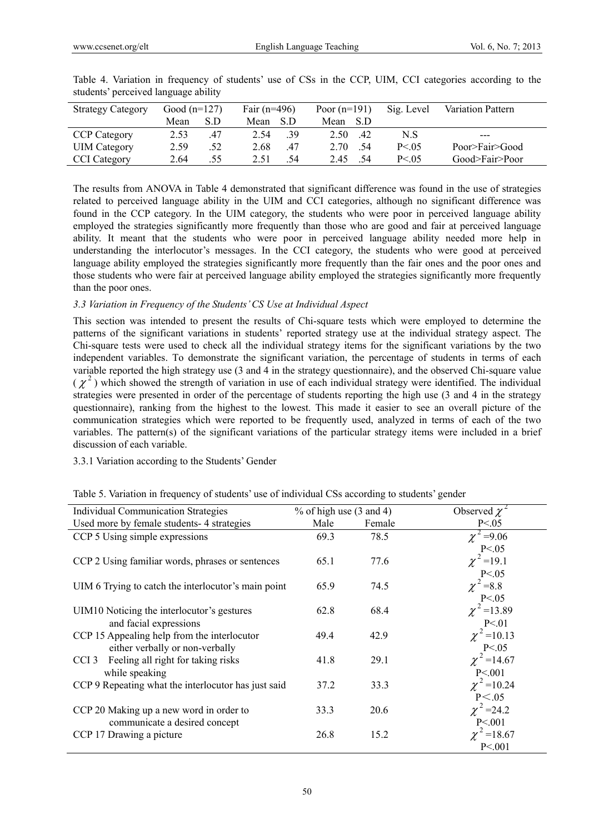| <b>Strategy Category</b> | Good $(n=127)$ |     | Fair $(n=496)$ |      | Poor $(n=191)$ |      | Sig. Level | Variation Pattern |
|--------------------------|----------------|-----|----------------|------|----------------|------|------------|-------------------|
|                          | Mean           | S.D | Mean           | -S D | Mean           | -S D |            |                   |
| <b>CCP Category</b>      | 2.53           | .47 | 2.54           | .39  | 2.50           | .42  | N.S        | ---               |
| <b>UIM</b> Category      | 2.59           | .52 | 2.68           | .47  | 2.70           | .54  | P < 0.5    | Poor>Fair>Good    |
| <b>CCI</b> Category      | 2.64           | .55 | 2.51           | -54  | 2.45           | .54  | P < 0.5    | Good>Fair>Poor    |

Table 4. Variation in frequency of students' use of CSs in the CCP, UIM, CCI categories according to the students' perceived language ability

The results from ANOVA in Table 4 demonstrated that significant difference was found in the use of strategies related to perceived language ability in the UIM and CCI categories, although no significant difference was found in the CCP category. In the UIM category, the students who were poor in perceived language ability employed the strategies significantly more frequently than those who are good and fair at perceived language ability. It meant that the students who were poor in perceived language ability needed more help in understanding the interlocutor's messages. In the CCI category, the students who were good at perceived language ability employed the strategies significantly more frequently than the fair ones and the poor ones and those students who were fair at perceived language ability employed the strategies significantly more frequently than the poor ones.

# *3.3 Variation in Frequency of the Students' CS Use at Individual Aspect*

This section was intended to present the results of Chi-square tests which were employed to determine the patterns of the significant variations in students' reported strategy use at the individual strategy aspect. The Chi-square tests were used to check all the individual strategy items for the significant variations by the two independent variables. To demonstrate the significant variation, the percentage of students in terms of each variable reported the high strategy use (3 and 4 in the strategy questionnaire), and the observed Chi-square value  $(\chi^2)$  which showed the strength of variation in use of each individual strategy were identified. The individual strategies were presented in order of the percentage of students reporting the high use (3 and 4 in the strategy questionnaire), ranking from the highest to the lowest. This made it easier to see an overall picture of the communication strategies which were reported to be frequently used, analyzed in terms of each of the two variables. The pattern(s) of the significant variations of the particular strategy items were included in a brief discussion of each variable.

# 3.3.1 Variation according to the Students' Gender

| <b>Individual Communication Strategies</b>             | $%$ of high use (3 and 4) |        | Observed $\chi^2$          |
|--------------------------------------------------------|---------------------------|--------|----------------------------|
| Used more by female students-4 strategies              | Male                      | Female | P < 0.05                   |
| CCP 5 Using simple expressions                         | 69.3                      | 78.5   | $\chi^2 = 9.06$            |
|                                                        |                           |        | P < 0.05                   |
| CCP 2 Using familiar words, phrases or sentences       | 65.1                      | 77.6   | $\chi^2$ =19.1             |
|                                                        |                           |        | P < 0.05                   |
| UIM 6 Trying to catch the interlocutor's main point    | 65.9                      | 74.5   | $\chi^2 = 8.8$             |
|                                                        |                           |        | P < 0.05                   |
| UIM10 Noticing the interlocutor's gestures             | 62.8                      | 68.4   | $\chi^2$ = 13.89           |
| and facial expressions                                 |                           |        | P < 01                     |
| CCP 15 Appealing help from the interlocutor            | 49.4                      | 42.9   | $\chi^2$ =10.13            |
| either verbally or non-verbally                        |                           |        |                            |
| Feeling all right for taking risks<br>CCI <sub>3</sub> | 41.8                      | 29.1   | P <.05<br>$\chi^2$ = 14.67 |
| while speaking                                         |                           |        | P < 001                    |
| CCP 9 Repeating what the interlocutor has just said    | 37.2                      | 33.3   | $\chi^2$ = 10.24           |
|                                                        |                           |        | P < 0.05                   |
| CCP 20 Making up a new word in order to                | 33.3                      | 20.6   | $\chi^2$ =24.2             |
| communicate a desired concept                          |                           |        | P < 001                    |
| CCP 17 Drawing a picture                               | 26.8                      | 15.2   | $\chi^2$ = 18.67           |
|                                                        |                           |        | P < 001                    |

Table 5. Variation in frequency of students' use of individual CSs according to students' gender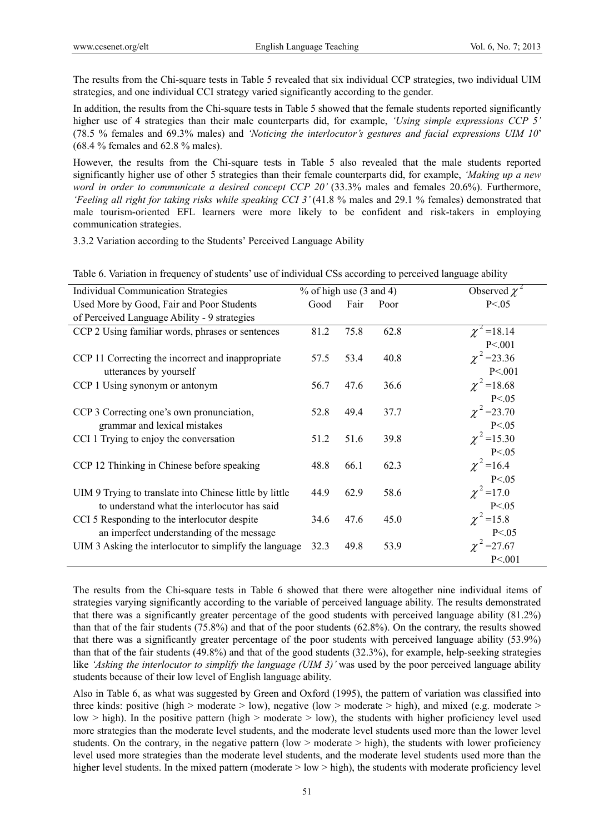The results from the Chi-square tests in Table 5 revealed that six individual CCP strategies, two individual UIM strategies, and one individual CCI strategy varied significantly according to the gender.

In addition, the results from the Chi-square tests in Table 5 showed that the female students reported significantly higher use of 4 strategies than their male counterparts did, for example, *'Using simple expressions CCP 5'* (78.5 % females and 69.3% males) and *'Noticing the interlocutor's gestures and facial expressions UIM 10*' (68.4 % females and 62.8 % males).

However, the results from the Chi-square tests in Table 5 also revealed that the male students reported significantly higher use of other 5 strategies than their female counterparts did, for example, *'Making up a new word in order to communicate a desired concept CCP 20'* (33.3% males and females 20.6%). Furthermore, *'Feeling all right for taking risks while speaking CCI 3'* (41.8 % males and 29.1 % females) demonstrated that male tourism-oriented EFL learners were more likely to be confident and risk-takers in employing communication strategies.

3.3.2 Variation according to the Students' Perceived Language Ability

| <b>Individual Communication Strategies</b>                     |      |      |                           |  |  |  |
|----------------------------------------------------------------|------|------|---------------------------|--|--|--|
|                                                                |      |      | Observed $\chi^2$         |  |  |  |
| Good                                                           | Fair | Poor | P < 0.05                  |  |  |  |
|                                                                |      |      |                           |  |  |  |
| 81.2                                                           | 75.8 | 62.8 | $\chi^2$ = 18.14          |  |  |  |
|                                                                |      |      | P < 001                   |  |  |  |
| 57.5                                                           | 53.4 | 40.8 | $\chi^2$ = 23.36          |  |  |  |
|                                                                |      |      | P < 001                   |  |  |  |
| 56.7                                                           | 47.6 | 36.6 | $\chi^2$ = 18.68          |  |  |  |
|                                                                |      |      | P < 0.05                  |  |  |  |
| 52.8                                                           | 49.4 | 37.7 | $\chi^2$ = 23.70          |  |  |  |
|                                                                |      |      | P < 0.05                  |  |  |  |
| 51.2                                                           | 51.6 | 39.8 | $\chi^2$ =15.30           |  |  |  |
|                                                                |      |      | P < 0.05                  |  |  |  |
| 48.8                                                           | 66.1 | 62.3 | $\chi^2$ = 16.4           |  |  |  |
|                                                                |      |      | P < 0.05                  |  |  |  |
| 44.9                                                           | 62.9 | 58.6 | $\chi^2$ = 17.0           |  |  |  |
|                                                                |      |      | P < 0.05                  |  |  |  |
| 34.6                                                           | 47.6 | 45.0 | $\chi^2$ = 15.8           |  |  |  |
|                                                                |      |      | P < 0.05                  |  |  |  |
| UIM 3 Asking the interlocutor to simplify the language<br>32.3 | 49.8 | 53.9 | $\chi^2$ = 27.67          |  |  |  |
|                                                                |      |      | P < 001                   |  |  |  |
|                                                                |      |      | $%$ of high use (3 and 4) |  |  |  |

Table 6. Variation in frequency of students' use of individual CSs according to perceived language ability

The results from the Chi-square tests in Table 6 showed that there were altogether nine individual items of strategies varying significantly according to the variable of perceived language ability. The results demonstrated that there was a significantly greater percentage of the good students with perceived language ability (81.2%) than that of the fair students (75.8%) and that of the poor students (62.8%). On the contrary, the results showed that there was a significantly greater percentage of the poor students with perceived language ability (53.9%) than that of the fair students (49.8%) and that of the good students (32.3%), for example, help-seeking strategies like *'Asking the interlocutor to simplify the language (UIM 3)'* was used by the poor perceived language ability students because of their low level of English language ability.

Also in Table 6, as what was suggested by Green and Oxford (1995), the pattern of variation was classified into three kinds: positive (high > moderate > low), negative (low > moderate > high), and mixed (e.g. moderate > low  $>$  high). In the positive pattern (high  $>$  moderate  $>$  low), the students with higher proficiency level used more strategies than the moderate level students, and the moderate level students used more than the lower level students. On the contrary, in the negative pattern (low  $>$  moderate  $>$  high), the students with lower proficiency level used more strategies than the moderate level students, and the moderate level students used more than the higher level students. In the mixed pattern (moderate > low > high), the students with moderate proficiency level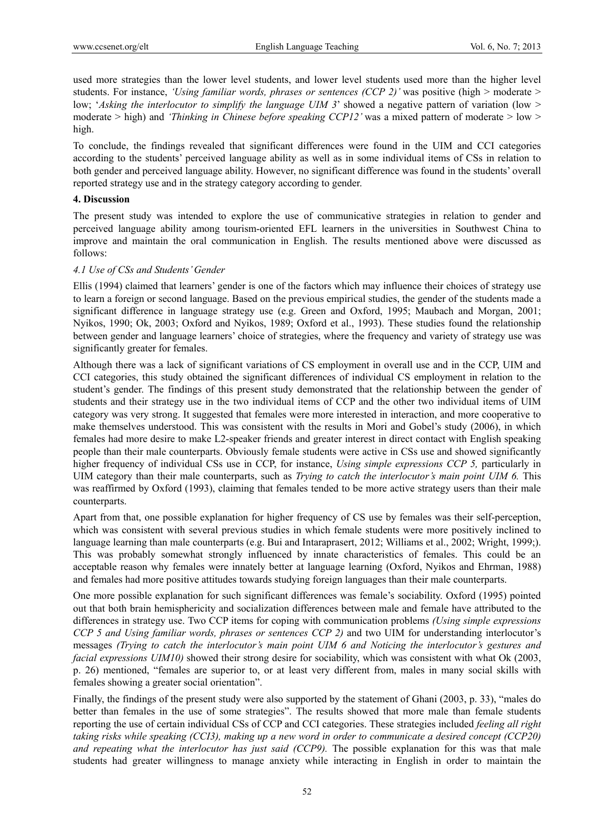used more strategies than the lower level students, and lower level students used more than the higher level students. For instance, *'Using familiar words, phrases or sentences (CCP 2)'* was positive (high > moderate > low; '*Asking the interlocutor to simplify the language UIM 3*' showed a negative pattern of variation (low > moderate > high) and *'Thinking in Chinese before speaking CCP12'* was a mixed pattern of moderate > low > high.

To conclude, the findings revealed that significant differences were found in the UIM and CCI categories according to the students' perceived language ability as well as in some individual items of CSs in relation to both gender and perceived language ability. However, no significant difference was found in the students' overall reported strategy use and in the strategy category according to gender.

## **4. Discussion**

The present study was intended to explore the use of communicative strategies in relation to gender and perceived language ability among tourism-oriented EFL learners in the universities in Southwest China to improve and maintain the oral communication in English. The results mentioned above were discussed as follows:

#### *4.1 Use of CSs and Students' Gender*

Ellis (1994) claimed that learners' gender is one of the factors which may influence their choices of strategy use to learn a foreign or second language. Based on the previous empirical studies, the gender of the students made a significant difference in language strategy use (e.g. Green and Oxford, 1995; Maubach and Morgan, 2001; Nyikos, 1990; Ok, 2003; Oxford and Nyikos, 1989; Oxford et al., 1993). These studies found the relationship between gender and language learners' choice of strategies, where the frequency and variety of strategy use was significantly greater for females.

Although there was a lack of significant variations of CS employment in overall use and in the CCP, UIM and CCI categories, this study obtained the significant differences of individual CS employment in relation to the student's gender. The findings of this present study demonstrated that the relationship between the gender of students and their strategy use in the two individual items of CCP and the other two individual items of UIM category was very strong. It suggested that females were more interested in interaction, and more cooperative to make themselves understood. This was consistent with the results in Mori and Gobel's study (2006), in which females had more desire to make L2-speaker friends and greater interest in direct contact with English speaking people than their male counterparts. Obviously female students were active in CSs use and showed significantly higher frequency of individual CSs use in CCP, for instance, *Using simple expressions CCP 5,* particularly in UIM category than their male counterparts, such as *Trying to catch the interlocutor's main point UIM 6.* This was reaffirmed by Oxford (1993), claiming that females tended to be more active strategy users than their male counterparts.

Apart from that, one possible explanation for higher frequency of CS use by females was their self-perception, which was consistent with several previous studies in which female students were more positively inclined to language learning than male counterparts (e.g. Bui and Intaraprasert, 2012; Williams et al., 2002; Wright, 1999;). This was probably somewhat strongly influenced by innate characteristics of females. This could be an acceptable reason why females were innately better at language learning (Oxford, Nyikos and Ehrman, 1988) and females had more positive attitudes towards studying foreign languages than their male counterparts.

One more possible explanation for such significant differences was female's sociability. Oxford (1995) pointed out that both brain hemisphericity and socialization differences between male and female have attributed to the differences in strategy use. Two CCP items for coping with communication problems *(Using simple expressions CCP 5 and Using familiar words, phrases or sentences CCP 2)* and two UIM for understanding interlocutor's messages *(Trying to catch the interlocutor's main point UIM 6 and Noticing the interlocutor's gestures and facial expressions UIM10)* showed their strong desire for sociability, which was consistent with what Ok (2003, p. 26) mentioned, "females are superior to, or at least very different from, males in many social skills with females showing a greater social orientation".

Finally, the findings of the present study were also supported by the statement of Ghani (2003, p. 33), "males do better than females in the use of some strategies". The results showed that more male than female students reporting the use of certain individual CSs of CCP and CCI categories. These strategies included *feeling all right taking risks while speaking (CCI3), making up a new word in order to communicate a desired concept (CCP20) and repeating what the interlocutor has just said (CCP9).* The possible explanation for this was that male students had greater willingness to manage anxiety while interacting in English in order to maintain the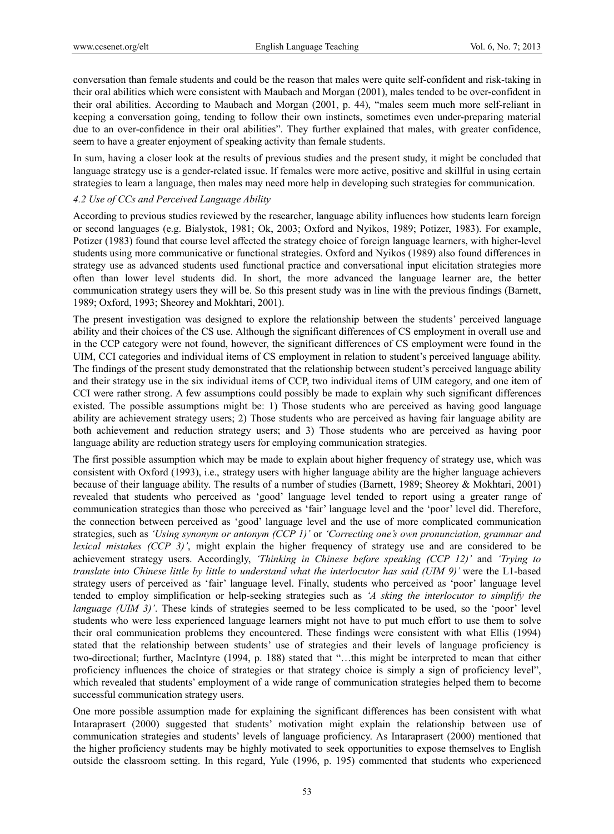conversation than female students and could be the reason that males were quite self-confident and risk-taking in their oral abilities which were consistent with Maubach and Morgan (2001), males tended to be over-confident in their oral abilities. According to Maubach and Morgan (2001, p. 44), "males seem much more self-reliant in keeping a conversation going, tending to follow their own instincts, sometimes even under-preparing material due to an over-confidence in their oral abilities". They further explained that males, with greater confidence, seem to have a greater enjoyment of speaking activity than female students.

In sum, having a closer look at the results of previous studies and the present study, it might be concluded that language strategy use is a gender-related issue. If females were more active, positive and skillful in using certain strategies to learn a language, then males may need more help in developing such strategies for communication.

## *4.2 Use of CCs and Perceived Language Ability*

According to previous studies reviewed by the researcher, language ability influences how students learn foreign or second languages (e.g. Bialystok, 1981; Ok, 2003; Oxford and Nyikos, 1989; Potizer, 1983). For example, Potizer (1983) found that course level affected the strategy choice of foreign language learners, with higher-level students using more communicative or functional strategies. Oxford and Nyikos (1989) also found differences in strategy use as advanced students used functional practice and conversational input elicitation strategies more often than lower level students did. In short, the more advanced the language learner are, the better communication strategy users they will be. So this present study was in line with the previous findings (Barnett, 1989; Oxford, 1993; Sheorey and Mokhtari, 2001).

The present investigation was designed to explore the relationship between the students' perceived language ability and their choices of the CS use. Although the significant differences of CS employment in overall use and in the CCP category were not found, however, the significant differences of CS employment were found in the UIM, CCI categories and individual items of CS employment in relation to student's perceived language ability. The findings of the present study demonstrated that the relationship between student's perceived language ability and their strategy use in the six individual items of CCP, two individual items of UIM category, and one item of CCI were rather strong. A few assumptions could possibly be made to explain why such significant differences existed. The possible assumptions might be: 1) Those students who are perceived as having good language ability are achievement strategy users; 2) Those students who are perceived as having fair language ability are both achievement and reduction strategy users; and 3) Those students who are perceived as having poor language ability are reduction strategy users for employing communication strategies.

The first possible assumption which may be made to explain about higher frequency of strategy use, which was consistent with Oxford (1993), i.e., strategy users with higher language ability are the higher language achievers because of their language ability. The results of a number of studies (Barnett, 1989; Sheorey & Mokhtari, 2001) revealed that students who perceived as 'good' language level tended to report using a greater range of communication strategies than those who perceived as 'fair' language level and the 'poor' level did. Therefore, the connection between perceived as 'good' language level and the use of more complicated communication strategies, such as *'Using synonym or antonym (CCP 1)'* or *'Correcting one's own pronunciation, grammar and lexical mistakes (CCP 3)'*, might explain the higher frequency of strategy use and are considered to be achievement strategy users. Accordingly, *'Thinking in Chinese before speaking (CCP 12)'* and *'Trying to translate into Chinese little by little to understand what the interlocutor has said (UIM 9)'* were the L1-based strategy users of perceived as 'fair' language level. Finally, students who perceived as 'poor' language level tended to employ simplification or help-seeking strategies such as *'A sking the interlocutor to simplify the language (UIM 3)'*. These kinds of strategies seemed to be less complicated to be used, so the 'poor' level students who were less experienced language learners might not have to put much effort to use them to solve their oral communication problems they encountered. These findings were consistent with what Ellis (1994) stated that the relationship between students' use of strategies and their levels of language proficiency is two-directional; further, MacIntyre (1994, p. 188) stated that "…this might be interpreted to mean that either proficiency influences the choice of strategies or that strategy choice is simply a sign of proficiency level", which revealed that students' employment of a wide range of communication strategies helped them to become successful communication strategy users.

One more possible assumption made for explaining the significant differences has been consistent with what Intaraprasert (2000) suggested that students' motivation might explain the relationship between use of communication strategies and students' levels of language proficiency. As Intaraprasert (2000) mentioned that the higher proficiency students may be highly motivated to seek opportunities to expose themselves to English outside the classroom setting. In this regard, Yule (1996, p. 195) commented that students who experienced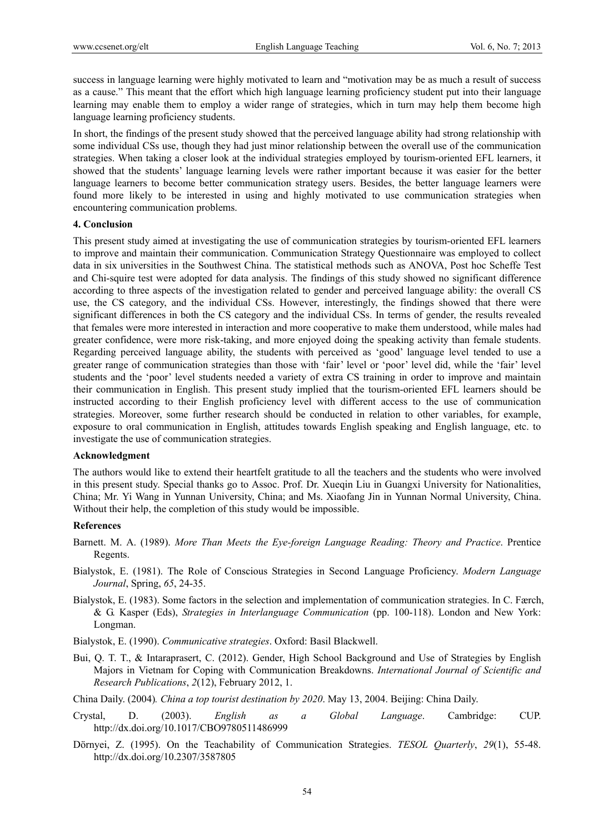success in language learning were highly motivated to learn and "motivation may be as much a result of success as a cause." This meant that the effort which high language learning proficiency student put into their language learning may enable them to employ a wider range of strategies, which in turn may help them become high language learning proficiency students.

In short, the findings of the present study showed that the perceived language ability had strong relationship with some individual CSs use, though they had just minor relationship between the overall use of the communication strategies. When taking a closer look at the individual strategies employed by tourism-oriented EFL learners, it showed that the students' language learning levels were rather important because it was easier for the better language learners to become better communication strategy users. Besides, the better language learners were found more likely to be interested in using and highly motivated to use communication strategies when encountering communication problems.

# **4. Conclusion**

This present study aimed at investigating the use of communication strategies by tourism-oriented EFL learners to improve and maintain their communication. Communication Strategy Questionnaire was employed to collect data in six universities in the Southwest China. The statistical methods such as ANOVA, Post hoc Scheffe Test and Chi-squire test were adopted for data analysis. The findings of this study showed no significant difference according to three aspects of the investigation related to gender and perceived language ability: the overall CS use, the CS category, and the individual CSs. However, interestingly, the findings showed that there were significant differences in both the CS category and the individual CSs. In terms of gender, the results revealed that females were more interested in interaction and more cooperative to make them understood, while males had greater confidence, were more risk-taking, and more enjoyed doing the speaking activity than female students. Regarding perceived language ability, the students with perceived as 'good' language level tended to use a greater range of communication strategies than those with 'fair' level or 'poor' level did, while the 'fair' level students and the 'poor' level students needed a variety of extra CS training in order to improve and maintain their communication in English. This present study implied that the tourism-oriented EFL learners should be instructed according to their English proficiency level with different access to the use of communication strategies. Moreover, some further research should be conducted in relation to other variables, for example, exposure to oral communication in English, attitudes towards English speaking and English language, etc. to investigate the use of communication strategies.

## **Acknowledgment**

The authors would like to extend their heartfelt gratitude to all the teachers and the students who were involved in this present study. Special thanks go to Assoc. Prof. Dr. Xueqin Liu in Guangxi University for Nationalities, China; Mr. Yi Wang in Yunnan University, China; and Ms. Xiaofang Jin in Yunnan Normal University, China. Without their help, the completion of this study would be impossible.

#### **References**

- Barnett. M. A. (1989). *More Than Meets the Eye-foreign Language Reading: Theory and Practice*. Prentice Regents.
- Bialystok, E. (1981). The Role of Conscious Strategies in Second Language Proficiency. *Modern Language Journal*, Spring, *65*, 24-35.
- Bialystok, E. (1983). Some factors in the selection and implementation of communication strategies. In C. Færch, & G. Kasper (Eds), *Strategies in Interlanguage Communication* (pp. 100-118). London and New York: Longman.
- Bialystok, E. (1990). *Communicative strategies*. Oxford: Basil Blackwell.
- Bui, Q. T. T., & Intaraprasert, C. (2012). Gender, High School Background and Use of Strategies by English Majors in Vietnam for Coping with Communication Breakdowns. *International Journal of Scientific and Research Publications*, *2*(12), February 2012, 1.

China Daily. (2004)*. China a top tourist destination by 2020*. May 13, 2004. Beijing: China Daily.

- Crystal, D. (2003). *English as a Global Language*. Cambridge: CUP. http://dx.doi.org/10.1017/CBO9780511486999
- Dörnyei, Z. (1995). On the Teachability of Communication Strategies. *TESOL Quarterly*, *29*(1), 55-48. http://dx.doi.org/10.2307/3587805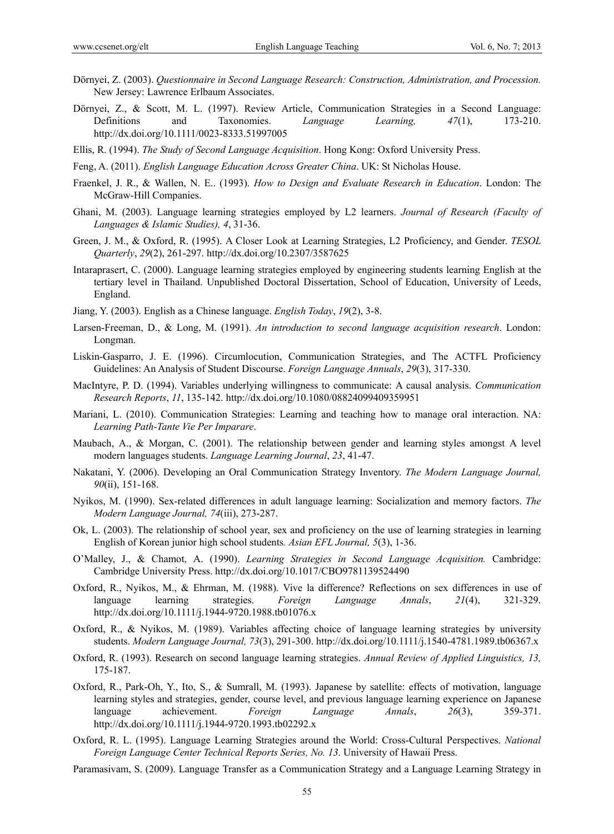- Dörnyei, Z. (2003). *Questionnaire in Second Language Research: Construction, Administration, and Procession.* New Jersey: Lawrence Erlbaum Associates.
- Dörnyei, Z., & Scott, M. L. (1997). Review Article, Communication Strategies in a Second Language: Definitions and Taxonomies. *Language Learning, 47*(1), 173-210. http://dx.doi.org/10.1111/0023-8333.51997005
- Ellis, R. (1994). *The Study of Second Language Acquisition*. Hong Kong: Oxford University Press.
- Feng, A. (2011). *English Language Education Across Greater China*. UK: St Nicholas House.
- Fraenkel, J. R., & Wallen, N. E.. (1993). *How to Design and Evaluate Research in Education*. London: The McGraw-Hill Companies.
- Ghani, M. (2003). Language learning strategies employed by L2 learners. *Journal of Research (Faculty of Languages & Islamic Studies), 4*, 31-36.
- Green, J. M., & Oxford, R. (1995). A Closer Look at Learning Strategies, L2 Proficiency, and Gender. *TESOL Quarterly*, *29*(2), 261-297. http://dx.doi.org/10.2307/3587625
- Intaraprasert, C. (2000). Language learning strategies employed by engineering students learning English at the tertiary level in Thailand. Unpublished Doctoral Dissertation, School of Education, University of Leeds, England.
- Jiang, Y. (2003). English as a Chinese language. *English Today*, *19*(2), 3-8.
- Larsen-Freeman, D., & Long, M. (1991). *An introduction to second language acquisition research*. London: Longman.
- Liskin-Gasparro, J. E. (1996). Circumlocution, Communication Strategies, and The ACTFL Proficiency Guidelines: An Analysis of Student Discourse. *Foreign Language Annuals*, *29*(3), 317-330.
- MacIntyre, P. D. (1994). Variables underlying willingness to communicate: A causal analysis. *Communication Research Reports*, *11*, 135-142. http://dx.doi.org/10.1080/08824099409359951
- Mariani, L. (2010). Communication Strategies: Learning and teaching how to manage oral interaction. NA: *Learning Path-Tante Vie Per Imparare*.
- Maubach, A., & Morgan, C. (2001). The relationship between gender and learning styles amongst A level modern languages students. *Language Learning Journal*, *23*, 41-47.
- Nakatani, Y. (2006). Developing an Oral Communication Strategy Inventory. *The Modern Language Journal, 90*(ii), 151-168.
- Nyikos, M. (1990). Sex-related differences in adult language learning: Socialization and memory factors. *The Modern Language Journal, 74*(iii), 273-287.
- Ok, L. (2003). The relationship of school year, sex and proficiency on the use of learning strategies in learning English of Korean junior high school students*. Asian EFL Journal, 5*(3), 1-36.
- O'Malley, J., & Chamot, A. (1990). *Learning Strategies in Second Language Acquisition.* Cambridge: Cambridge University Press. http://dx.doi.org/10.1017/CBO9781139524490
- Oxford, R., Nyikos, M., & Ehrman, M. (1988). Vive la difference? Reflections on sex differences in use of language learning strategies. *Foreign Language Annals*, *21*(4), 321-329. http://dx.doi.org/10.1111/j.1944-9720.1988.tb01076.x
- Oxford, R., & Nyikos, M. (1989). Variables affecting choice of language learning strategies by university students. *Modern Language Journal, 73*(3), 291-300. http://dx.doi.org/10.1111/j.1540-4781.1989.tb06367.x
- Oxford, R. (1993). Research on second language learning strategies. *Annual Review of Applied Linguistics, 13,*  175-187.
- Oxford, R., Park-Oh, Y., Ito, S., & Sumrall, M. (1993). Japanese by satellite: effects of motivation, language learning styles and strategies, gender, course level, and previous language learning experience on Japanese language achievement. *Foreign Language Annals*, *26*(3), 359-371. http://dx.doi.org/10.1111/j.1944-9720.1993.tb02292.x
- Oxford, R. L. (1995). Language Learning Strategies around the World: Cross-Cultural Perspectives. *National Foreign Language Center Technical Reports Series, No. 13.* University of Hawaii Press.
- Paramasivam, S. (2009). Language Transfer as a Communication Strategy and a Language Learning Strategy in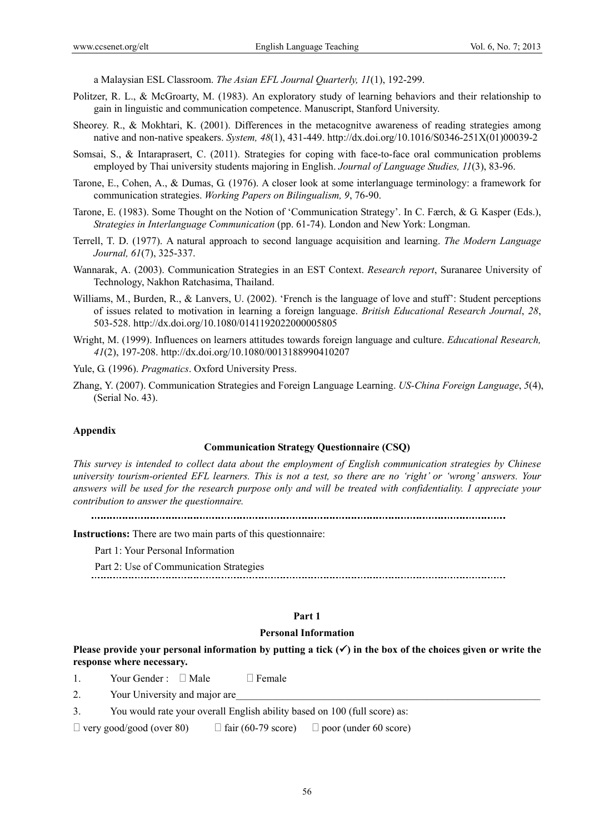a Malaysian ESL Classroom. *The Asian EFL Journal Quarterly, 11*(1), 192-299.

- Politzer, R. L., & McGroarty, M. (1983). An exploratory study of learning behaviors and their relationship to gain in linguistic and communication competence. Manuscript, Stanford University.
- Sheorey. R., & Mokhtari, K. (2001). Differences in the metacognitve awareness of reading strategies among native and non-native speakers. *System, 48*(1), 431-449. http://dx.doi.org/10.1016/S0346-251X(01)00039-2
- Somsai, S., & Intaraprasert, C. (2011). Strategies for coping with face-to-face oral communication problems employed by Thai university students majoring in English. *Journal of Language Studies, 11*(3), 83-96.
- Tarone, E., Cohen, A., & Dumas, G. (1976). A closer look at some interlanguage terminology: a framework for communication strategies. *Working Papers on Bilingualism, 9*, 76-90.
- Tarone, E. (1983). Some Thought on the Notion of 'Communication Strategy'. In C. Færch, & G. Kasper (Eds.), *Strategies in Interlanguage Communication* (pp. 61-74). London and New York: Longman.
- Terrell, T. D. (1977). A natural approach to second language acquisition and learning. *The Modern Language Journal, 61*(7), 325-337.
- Wannarak, A. (2003). Communication Strategies in an EST Context. *Research report*, Suranaree University of Technology, Nakhon Ratchasima, Thailand.
- Williams, M., Burden, R., & Lanvers, U. (2002). 'French is the language of love and stuff': Student perceptions of issues related to motivation in learning a foreign language. *British Educational Research Journal*, *28*, 503-528. http://dx.doi.org/10.1080/0141192022000005805
- Wright, M. (1999). Influences on learners attitudes towards foreign language and culture. *Educational Research, 41*(2), 197-208. http://dx.doi.org/10.1080/0013188990410207

Yule, G. (1996). *Pragmatics*. Oxford University Press.

Zhang, Y. (2007). Communication Strategies and Foreign Language Learning. *US-China Foreign Language*, *5*(4), (Serial No. 43).

#### **Appendix**

#### **Communication Strategy Questionnaire (CSQ)**

*This survey is intended to collect data about the employment of English communication strategies by Chinese university tourism-oriented EFL learners. This is not a test, so there are no 'right' or 'wrong' answers. Your answers will be used for the research purpose only and will be treated with confidentiality. I appreciate your contribution to answer the questionnaire.* 

**Instructions:** There are two main parts of this questionnaire:

Part 1: Your Personal Information

Part 2: Use of Communication Strategies

# **Part 1**

## **Personal Information**

**Please provide your personal information by putting a tick**  $(\checkmark)$  **in the box of the choices given or write the response where necessary.** 

1. Your Gender :  $\Box$  Male  $\Box$  Female

2. Your University and major are

3. You would rate your overall English ability based on 100 (full score) as:

 $\Box$  very good/good (over 80)  $\Box$  fair (60-79 score)  $\Box$  poor (under 60 score)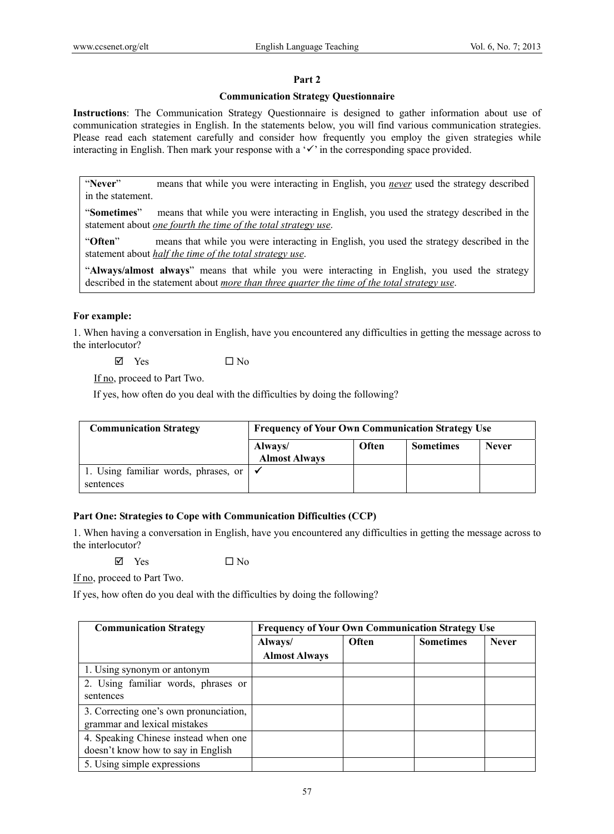## **Part 2**

## **Communication Strategy Questionnaire**

**Instructions**: The Communication Strategy Questionnaire is designed to gather information about use of communication strategies in English. In the statements below, you will find various communication strategies. Please read each statement carefully and consider how frequently you employ the given strategies while interacting in English. Then mark your response with a  $\checkmark$  in the corresponding space provided.

"**Never**" means that while you were interacting in English, you *never* used the strategy described in the statement.

"**Sometimes**" means that while you were interacting in English, you used the strategy described in the statement about *one fourth the time of the total strategy use*.

"**Often**" means that while you were interacting in English, you used the strategy described in the statement about *half the time of the total strategy use*.

"**Always/almost always**" means that while you were interacting in English, you used the strategy described in the statement about *more than three quarter the time of the total strategy use*.

#### **For example:**

1. When having a conversation in English, have you encountered any difficulties in getting the message across to the interlocutor?

 $\boxtimes$  Yes  $\Box$  No

If no, proceed to Part Two.

If yes, how often do you deal with the difficulties by doing the following?

| <b>Communication Strategy</b>                     | <b>Frequency of Your Own Communication Strategy Use</b> |              |                  |              |  |  |
|---------------------------------------------------|---------------------------------------------------------|--------------|------------------|--------------|--|--|
|                                                   | Always/<br><b>Almost Always</b>                         | <b>Often</b> | <b>Sometimes</b> | <b>Never</b> |  |  |
| 1. Using familiar words, phrases, or<br>sentences |                                                         |              |                  |              |  |  |

# **Part One: Strategies to Cope with Communication Difficulties (CCP)**

1. When having a conversation in English, have you encountered any difficulties in getting the message across to the interlocutor?

 $\boxtimes$  Yes  $\Box$  No

If no, proceed to Part Two.

If yes, how often do you deal with the difficulties by doing the following?

| <b>Communication Strategy</b>          | <b>Frequency of Your Own Communication Strategy Use</b> |       |                  |              |  |
|----------------------------------------|---------------------------------------------------------|-------|------------------|--------------|--|
|                                        | Always/                                                 | Often | <b>Sometimes</b> | <b>Never</b> |  |
|                                        | <b>Almost Always</b>                                    |       |                  |              |  |
| 1. Using synonym or antonym            |                                                         |       |                  |              |  |
| 2. Using familiar words, phrases or    |                                                         |       |                  |              |  |
| sentences                              |                                                         |       |                  |              |  |
| 3. Correcting one's own pronunciation, |                                                         |       |                  |              |  |
| grammar and lexical mistakes           |                                                         |       |                  |              |  |
| 4. Speaking Chinese instead when one   |                                                         |       |                  |              |  |
| doesn't know how to say in English     |                                                         |       |                  |              |  |
| 5. Using simple expressions            |                                                         |       |                  |              |  |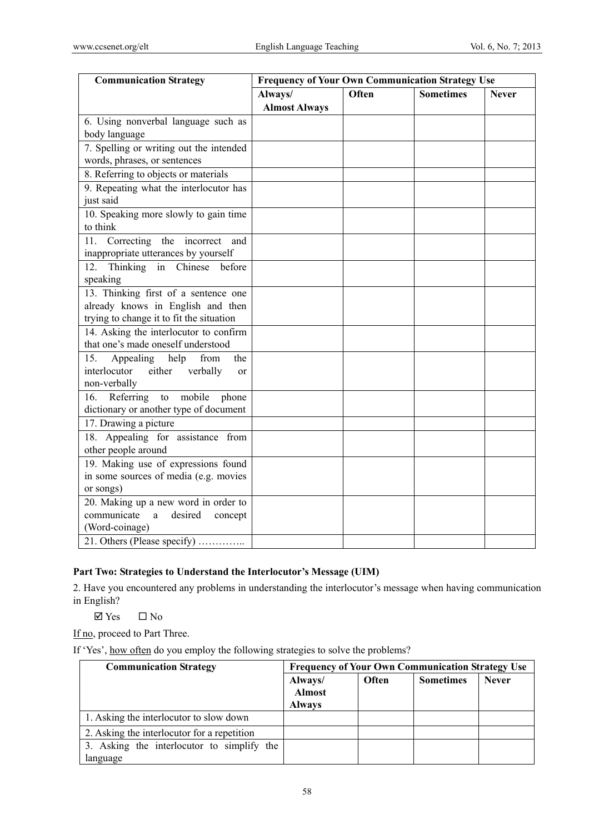| <b>Communication Strategy</b>                                                                                         | <b>Frequency of Your Own Communication Strategy Use</b> |       |                  |              |  |
|-----------------------------------------------------------------------------------------------------------------------|---------------------------------------------------------|-------|------------------|--------------|--|
|                                                                                                                       | Always/<br><b>Almost Always</b>                         | Often | <b>Sometimes</b> | <b>Never</b> |  |
| 6. Using nonverbal language such as<br>body language                                                                  |                                                         |       |                  |              |  |
| 7. Spelling or writing out the intended<br>words, phrases, or sentences                                               |                                                         |       |                  |              |  |
| 8. Referring to objects or materials                                                                                  |                                                         |       |                  |              |  |
| 9. Repeating what the interlocutor has<br>just said                                                                   |                                                         |       |                  |              |  |
| 10. Speaking more slowly to gain time<br>to think                                                                     |                                                         |       |                  |              |  |
| 11.<br>Correcting<br>the incorrect<br>and<br>inappropriate utterances by yourself                                     |                                                         |       |                  |              |  |
| Thinking in Chinese before<br>12 <sub>1</sub>                                                                         |                                                         |       |                  |              |  |
| speaking                                                                                                              |                                                         |       |                  |              |  |
| 13. Thinking first of a sentence one<br>already knows in English and then<br>trying to change it to fit the situation |                                                         |       |                  |              |  |
| 14. Asking the interlocutor to confirm<br>that one's made oneself understood                                          |                                                         |       |                  |              |  |
| Appealing<br>help<br>15.<br>from<br>the<br>interlocutor<br>either<br>verbally<br>or<br>non-verbally                   |                                                         |       |                  |              |  |
| Referring<br>mobile<br>phone<br>to<br>16.<br>dictionary or another type of document                                   |                                                         |       |                  |              |  |
| 17. Drawing a picture                                                                                                 |                                                         |       |                  |              |  |
| 18. Appealing for assistance from<br>other people around                                                              |                                                         |       |                  |              |  |
| 19. Making use of expressions found<br>in some sources of media (e.g. movies<br>or songs)                             |                                                         |       |                  |              |  |
| 20. Making up a new word in order to<br>communicate<br>desired<br>concept<br>a<br>(Word-coinage)                      |                                                         |       |                  |              |  |
| 21. Others (Please specify)                                                                                           |                                                         |       |                  |              |  |

# **Part Two: Strategies to Understand the Interlocutor's Message (UIM)**

2. Have you encountered any problems in understanding the interlocutor's message when having communication in English?

 $\Box$  Yes  $\Box$  No

If no, proceed to Part Three.

If 'Yes', how often do you employ the following strategies to solve the problems?

| <b>Communication Strategy</b>                          | <b>Frequency of Your Own Communication Strategy Use</b> |       |                  |              |  |  |
|--------------------------------------------------------|---------------------------------------------------------|-------|------------------|--------------|--|--|
|                                                        | Always/<br><b>Almost</b><br><b>Always</b>               | Often | <b>Sometimes</b> | <b>Never</b> |  |  |
| 1. Asking the interlocutor to slow down                |                                                         |       |                  |              |  |  |
| 2. Asking the interlocutor for a repetition            |                                                         |       |                  |              |  |  |
| 3. Asking the interlocutor to simplify the<br>language |                                                         |       |                  |              |  |  |